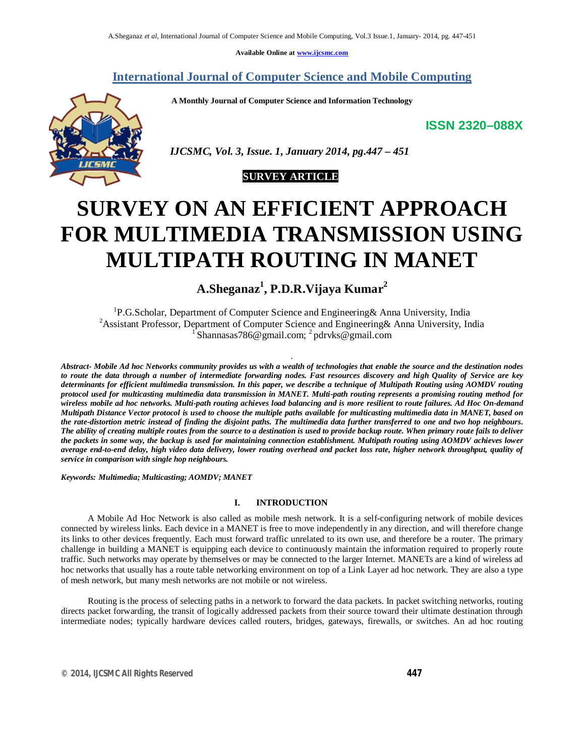**Available Online at www.ijcsmc.com**

# **International Journal of Computer Science and Mobile Computing**

 **A Monthly Journal of Computer Science and Information Technology**

**ISSN 2320–088X**



 *IJCSMC, Vol. 3, Issue. 1, January 2014, pg.447 – 451*



# **SURVEY ON AN EFFICIENT APPROACH FOR MULTIMEDIA TRANSMISSION USING MULTIPATH ROUTING IN MANET**

**A.Sheganaz<sup>1</sup> , P.D.R.Vijaya Kumar<sup>2</sup>**

<sup>1</sup>P.G.Scholar, Department of Computer Science and Engineering& Anna University, India <sup>2</sup> Assistant Professor, Department of Computer Science and Engineering & Anna University, India <sup>1</sup> Shannasas786@gmail.com; <sup>2</sup> pdrvks@gmail.com

*.*

*Abstract- Mobile Ad hoc Networks community provides us with a wealth of technologies that enable the source and the destination nodes to route the data through a number of intermediate forwarding nodes. Fast resources discovery and high Quality of Service are key determinants for efficient multimedia transmission. In this paper, we describe a technique of Multipath Routing using AOMDV routing protocol used for multicasting multimedia data transmission in MANET. Multi-path routing represents a promising routing method for wireless mobile ad hoc networks. Multi-path routing achieves load balancing and is more resilient to route failures. Ad Hoc On-demand Multipath Distance Vector protocol is used to choose the multiple paths available for multicasting multimedia data in MANET, based on the rate-distortion metric instead of finding the disjoint paths. The multimedia data further transferred to one and two hop neighbours. The ability of creating multiple routes from the source to a destination is used to provide backup route. When primary route fails to deliver the packets in some way, the backup is used for maintaining connection establishment. Multipath routing using AOMDV achieves lower average end-to-end delay, high video data delivery, lower routing overhead and packet loss rate, higher network throughput, quality of service in comparison with single hop neighbours.*

*Keywords: Multimedia; Multicasting; AOMDV; MANET*

## **I. INTRODUCTION**

 A Mobile Ad Hoc Network is also called as mobile mesh network. It is a self-configuring network of mobile devices connected by wireless links. Each device in a MANET is free to move independently in any direction, and will therefore change its links to other devices frequently. Each must forward traffic unrelated to its own use, and therefore be a router. The primary challenge in building a MANET is equipping each device to continuously maintain the information required to properly route traffic. Such networks may operate by themselves or may be connected to the larger Internet. MANETs are a kind of wireless ad hoc networks that usually has a route table networking environment on top of a Link Layer ad hoc network. They are also a type of mesh network, but many mesh networks are not mobile or not wireless.

 Routing is the process of selecting paths in a network to forward the data packets. In packet switching networks, routing directs packet forwarding, the transit of logically addressed packets from their source toward their ultimate destination through intermediate nodes; typically hardware devices called routers, bridges, gateways, firewalls, or switches. An ad hoc routing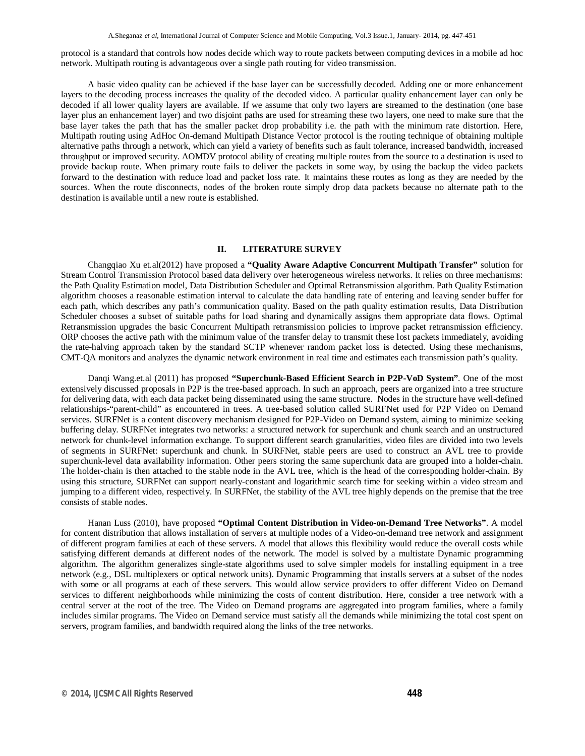protocol is a standard that controls how nodes decide which way to route packets between computing devices in a mobile ad hoc network. Multipath routing is advantageous over a single path routing for video transmission.

 A basic video quality can be achieved if the base layer can be successfully decoded. Adding one or more enhancement layers to the decoding process increases the quality of the decoded video. A particular quality enhancement layer can only be decoded if all lower quality layers are available. If we assume that only two layers are streamed to the destination (one base layer plus an enhancement layer) and two disjoint paths are used for streaming these two layers, one need to make sure that the base layer takes the path that has the smaller packet drop probability i.e. the path with the minimum rate distortion. Here, Multipath routing using AdHoc On-demand Multipath Distance Vector protocol is the routing technique of obtaining multiple alternative paths through a network, which can yield a variety of benefits such as fault tolerance, increased bandwidth, increased throughput or improved security. AOMDV protocol ability of creating multiple routes from the source to a destination is used to provide backup route. When primary route fails to deliver the packets in some way, by using the backup the video packets forward to the destination with reduce load and packet loss rate. It maintains these routes as long as they are needed by the sources. When the route disconnects, nodes of the broken route simply drop data packets because no alternate path to the destination is available until a new route is established.

#### **II. LITERATURE SURVEY**

 Changqiao Xu et.al(2012) have proposed a **"Quality Aware Adaptive Concurrent Multipath Transfer"** solution for Stream Control Transmission Protocol based data delivery over heterogeneous wireless networks. It relies on three mechanisms: the Path Quality Estimation model, Data Distribution Scheduler and Optimal Retransmission algorithm. Path Quality Estimation algorithm chooses a reasonable estimation interval to calculate the data handling rate of entering and leaving sender buffer for each path, which describes any path's communication quality. Based on the path quality estimation results, Data Distribution Scheduler chooses a subset of suitable paths for load sharing and dynamically assigns them appropriate data flows. Optimal Retransmission upgrades the basic Concurrent Multipath retransmission policies to improve packet retransmission efficiency. ORP chooses the active path with the minimum value of the transfer delay to transmit these lost packets immediately, avoiding the rate-halving approach taken by the standard SCTP whenever random packet loss is detected. Using these mechanisms, CMT-QA monitors and analyzes the dynamic network environment in real time and estimates each transmission path's quality.

Danqi Wang.et.al (2011) has proposed **"Superchunk-Based Efficient Search in P2P-VoD System"**. One of the most extensively discussed proposals in P2P is the tree-based approach. In such an approach, peers are organized into a tree structure for delivering data, with each data packet being disseminated using the same structure. Nodes in the structure have well-defined relationships-"parent-child" as encountered in trees. A tree-based solution called SURFNet used for P2P Video on Demand services. SURFNet is a content discovery mechanism designed for P2P-Video on Demand system, aiming to minimize seeking buffering delay. SURFNet integrates two networks: a structured network for superchunk and chunk search and an unstructured network for chunk-level information exchange. To support different search granularities, video files are divided into two levels of segments in SURFNet: superchunk and chunk. In SURFNet, stable peers are used to construct an AVL tree to provide superchunk-level data availability information. Other peers storing the same superchunk data are grouped into a holder-chain. The holder-chain is then attached to the stable node in the AVL tree, which is the head of the corresponding holder-chain. By using this structure, SURFNet can support nearly-constant and logarithmic search time for seeking within a video stream and jumping to a different video, respectively. In SURFNet, the stability of the AVL tree highly depends on the premise that the tree consists of stable nodes.

 Hanan Luss (2010), have proposed **"Optimal Content Distribution in Video-on-Demand Tree Networks"**. A model for content distribution that allows installation of servers at multiple nodes of a Video-on-demand tree network and assignment of different program families at each of these servers. A model that allows this flexibility would reduce the overall costs while satisfying different demands at different nodes of the network. The model is solved by a multistate Dynamic programming algorithm. The algorithm generalizes single-state algorithms used to solve simpler models for installing equipment in a tree network (e.g., DSL multiplexers or optical network units). Dynamic Programming that installs servers at a subset of the nodes with some or all programs at each of these servers. This would allow service providers to offer different Video on Demand services to different neighborhoods while minimizing the costs of content distribution. Here, consider a tree network with a central server at the root of the tree. The Video on Demand programs are aggregated into program families, where a family includes similar programs. The Video on Demand service must satisfy all the demands while minimizing the total cost spent on servers, program families, and bandwidth required along the links of the tree networks.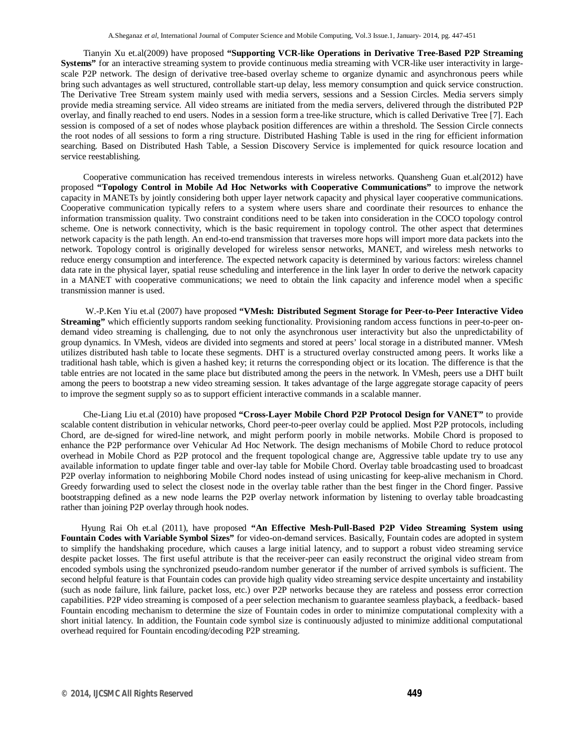Tianyin Xu et.al(2009) have proposed **"Supporting VCR-like Operations in Derivative Tree-Based P2P Streaming Systems"** for an interactive streaming system to provide continuous media streaming with VCR-like user interactivity in largescale P2P network. The design of derivative tree-based overlay scheme to organize dynamic and asynchronous peers while bring such advantages as well structured, controllable start-up delay, less memory consumption and quick service construction. The Derivative Tree Stream system mainly used with media servers, sessions and a Session Circles. Media servers simply provide media streaming service. All video streams are initiated from the media servers, delivered through the distributed P2P overlay, and finally reached to end users. Nodes in a session form a tree-like structure, which is called Derivative Tree [7]. Each session is composed of a set of nodes whose playback position differences are within a threshold. The Session Circle connects the root nodes of all sessions to form a ring structure. Distributed Hashing Table is used in the ring for efficient information searching. Based on Distributed Hash Table, a Session Discovery Service is implemented for quick resource location and service reestablishing.

 Cooperative communication has received tremendous interests in wireless networks. Quansheng Guan et.al(2012) have proposed **"Topology Control in Mobile Ad Hoc Networks with Cooperative Communications"** to improve the network capacity in MANETs by jointly considering both upper layer network capacity and physical layer cooperative communications. Cooperative communication typically refers to a system where users share and coordinate their resources to enhance the information transmission quality. Two constraint conditions need to be taken into consideration in the COCO topology control scheme. One is network connectivity, which is the basic requirement in topology control. The other aspect that determines network capacity is the path length. An end-to-end transmission that traverses more hops will import more data packets into the network. Topology control is originally developed for wireless sensor networks, MANET, and wireless mesh networks to reduce energy consumption and interference. The expected network capacity is determined by various factors: wireless channel data rate in the physical layer, spatial reuse scheduling and interference in the link layer In order to derive the network capacity in a MANET with cooperative communications; we need to obtain the link capacity and inference model when a specific transmission manner is used.

W.-P.Ken Yiu et.al (2007) have proposed **"VMesh: Distributed Segment Storage for Peer-to-Peer Interactive Video Streaming"** which efficiently supports random seeking functionality. Provisioning random access functions in peer-to-peer ondemand video streaming is challenging, due to not only the asynchronous user interactivity but also the unpredictability of group dynamics. In VMesh, videos are divided into segments and stored at peers' local storage in a distributed manner. VMesh utilizes distributed hash table to locate these segments. DHT is a structured overlay constructed among peers. It works like a traditional hash table, which is given a hashed key; it returns the corresponding object or its location. The difference is that the table entries are not located in the same place but distributed among the peers in the network. In VMesh, peers use a DHT built among the peers to bootstrap a new video streaming session. It takes advantage of the large aggregate storage capacity of peers to improve the segment supply so as to support efficient interactive commands in a scalable manner.

 Che-Liang Liu et.al (2010) have proposed **"Cross-Layer Mobile Chord P2P Protocol Design for VANET"** to provide scalable content distribution in vehicular networks, Chord peer-to-peer overlay could be applied. Most P2P protocols, including Chord, are de-signed for wired-line network, and might perform poorly in mobile networks. Mobile Chord is proposed to enhance the P2P performance over Vehicular Ad Hoc Network. The design mechanisms of Mobile Chord to reduce protocol overhead in Mobile Chord as P2P protocol and the frequent topological change are, Aggressive table update try to use any available information to update finger table and over-lay table for Mobile Chord. Overlay table broadcasting used to broadcast P2P overlay information to neighboring Mobile Chord nodes instead of using unicasting for keep-alive mechanism in Chord. Greedy forwarding used to select the closest node in the overlay table rather than the best finger in the Chord finger. Passive bootstrapping defined as a new node learns the P2P overlay network information by listening to overlay table broadcasting rather than joining P2P overlay through hook nodes.

Hyung Rai Oh et.al (2011), have proposed **"An Effective Mesh-Pull-Based P2P Video Streaming System using Fountain Codes with Variable Symbol Sizes"** for video-on-demand services. Basically, Fountain codes are adopted in system to simplify the handshaking procedure, which causes a large initial latency, and to support a robust video streaming service despite packet losses. The first useful attribute is that the receiver-peer can easily reconstruct the original video stream from encoded symbols using the synchronized pseudo-random number generator if the number of arrived symbols is sufficient. The second helpful feature is that Fountain codes can provide high quality video streaming service despite uncertainty and instability (such as node failure, link failure, packet loss, etc.) over P2P networks because they are rateless and possess error correction capabilities. P2P video streaming is composed of a peer selection mechanism to guarantee seamless playback, a feedback- based Fountain encoding mechanism to determine the size of Fountain codes in order to minimize computational complexity with a short initial latency. In addition, the Fountain code symbol size is continuously adjusted to minimize additional computational overhead required for Fountain encoding/decoding P2P streaming.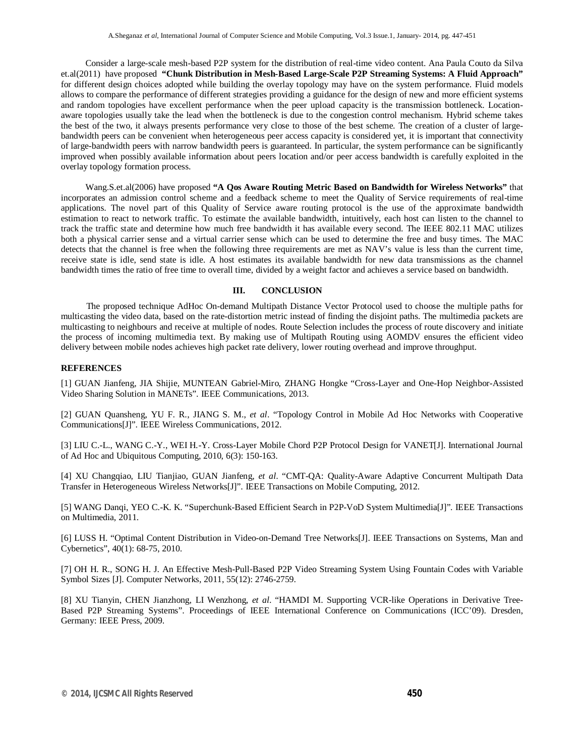Consider a large-scale mesh-based P2P system for the distribution of real-time video content. Ana Paula Couto da Silva et.al(2011) have proposed **"Chunk Distribution in Mesh-Based Large-Scale P2P Streaming Systems: A Fluid Approach"** for different design choices adopted while building the overlay topology may have on the system performance. Fluid models allows to compare the performance of different strategies providing a guidance for the design of new and more efficient systems and random topologies have excellent performance when the peer upload capacity is the transmission bottleneck. Locationaware topologies usually take the lead when the bottleneck is due to the congestion control mechanism. Hybrid scheme takes the best of the two, it always presents performance very close to those of the best scheme. The creation of a cluster of largebandwidth peers can be convenient when heterogeneous peer access capacity is considered yet, it is important that connectivity of large-bandwidth peers with narrow bandwidth peers is guaranteed. In particular, the system performance can be significantly improved when possibly available information about peers location and/or peer access bandwidth is carefully exploited in the overlay topology formation process.

 Wang.S.et.al(2006) have proposed **"A Qos Aware Routing Metric Based on Bandwidth for Wireless Networks"** that incorporates an admission control scheme and a feedback scheme to meet the Quality of Service requirements of real-time applications. The novel part of this Quality of Service aware routing protocol is the use of the approximate bandwidth estimation to react to network traffic. To estimate the available bandwidth, intuitively, each host can listen to the channel to track the traffic state and determine how much free bandwidth it has available every second. The IEEE 802.11 MAC utilizes both a physical carrier sense and a virtual carrier sense which can be used to determine the free and busy times. The MAC detects that the channel is free when the following three requirements are met as NAV's value is less than the current time, receive state is idle, send state is idle. A host estimates its available bandwidth for new data transmissions as the channel bandwidth times the ratio of free time to overall time, divided by a weight factor and achieves a service based on bandwidth.

## **III. CONCLUSION**

The proposed technique AdHoc On-demand Multipath Distance Vector Protocol used to choose the multiple paths for multicasting the video data, based on the rate-distortion metric instead of finding the disjoint paths. The multimedia packets are multicasting to neighbours and receive at multiple of nodes. Route Selection includes the process of route discovery and initiate the process of incoming multimedia text. By making use of Multipath Routing using AOMDV ensures the efficient video delivery between mobile nodes achieves high packet rate delivery, lower routing overhead and improve throughput.

#### **REFERENCES**

[1] GUAN Jianfeng, JIA Shijie, MUNTEAN Gabriel-Miro, ZHANG Hongke "Cross-Layer and One-Hop Neighbor-Assisted Video Sharing Solution in MANETs". IEEE Communications, 2013.

[2] GUAN Quansheng, YU F. R., JIANG S. M., *et al*. "Topology Control in Mobile Ad Hoc Networks with Cooperative Communications[J]". IEEE Wireless Communications, 2012.

[3] LIU C.-L., WANG C.-Y., WEI H.-Y. Cross-Layer Mobile Chord P2P Protocol Design for VANET[J]. International Journal of Ad Hoc and Ubiquitous Computing, 2010, 6(3): 150-163.

[4] XU Changqiao, LIU Tianjiao, GUAN Jianfeng, *et al*. "CMT-QA: Quality-Aware Adaptive Concurrent Multipath Data Transfer in Heterogeneous Wireless Networks[J]". IEEE Transactions on Mobile Computing, 2012.

[5] WANG Danqi, YEO C.-K. K. "Superchunk-Based Efficient Search in P2P-VoD System Multimedia[J]". IEEE Transactions on Multimedia, 2011.

[6] LUSS H. "Optimal Content Distribution in Video-on-Demand Tree Networks[J]. IEEE Transactions on Systems, Man and Cybernetics", 40(1): 68-75, 2010.

[7] OH H. R., SONG H. J. An Effective Mesh-Pull-Based P2P Video Streaming System Using Fountain Codes with Variable Symbol Sizes [J]. Computer Networks, 2011, 55(12): 2746-2759.

[8] XU Tianyin, CHEN Jianzhong, LI Wenzhong, *et al*. "HAMDI M. Supporting VCR-like Operations in Derivative Tree-Based P2P Streaming Systems". Proceedings of IEEE International Conference on Communications (ICC'09). Dresden, Germany: IEEE Press, 2009.